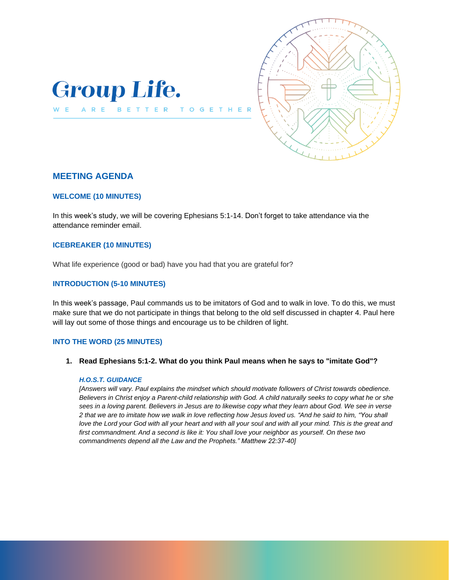

BETTER

 $T<sub>0</sub>$ 

 $\epsilon$ 



# **MEETING AGENDA**

ARE

W E

### **WELCOME (10 MINUTES)**

In this week's study, we will be covering Ephesians 5:1-14. Don't forget to take attendance via the attendance reminder email.

## **ICEBREAKER (10 MINUTES)**

What life experience (good or bad) have you had that you are grateful for?

## **INTRODUCTION (5-10 MINUTES)**

In this week's passage, Paul commands us to be imitators of God and to walk in love. To do this, we must make sure that we do not participate in things that belong to the old self discussed in chapter 4. Paul here will lay out some of those things and encourage us to be children of light.

### **INTO THE WORD (25 MINUTES)**

**1. Read Ephesians 5:1-2. What do you think Paul means when he says to "imitate God"?** 

#### *H.O.S.T. GUIDANCE*

*[Answers will vary. Paul explains the mindset which should motivate followers of Christ towards obedience. Believers in Christ enjoy a Parent-child relationship with God. A child naturally seeks to copy what he or she sees in a loving parent. Believers in Jesus are to likewise copy what they learn about God. We see in verse 2 that we are to imitate how we walk in love reflecting how Jesus loved us. "And he said to him, "You shall love the Lord your God with all your heart and with all your soul and with all your mind. This is the great and first commandment. And a second is like it: You shall love your neighbor as yourself. On these two commandments depend all the Law and the Prophets." Matthew 22:37-40]*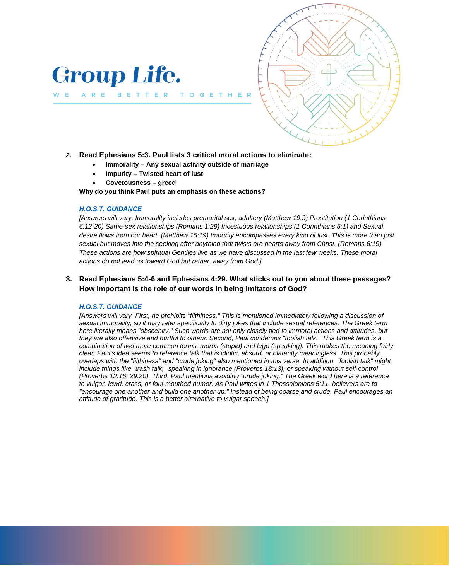

ARE

W E



*2.* **Read Ephesians 5:3. Paul lists 3 critical moral actions to eliminate:** 

T O G

- **Immorality – Any sexual activity outside of marriage**
	- **Impurity – Twisted heart of lust**

BETTER

• **Covetousness – greed**

**Why do you think Paul puts an emphasis on these actions?** 

#### *H.O.S.T. GUIDANCE*

*[Answers will vary. Immorality includes premarital sex; adultery (Matthew 19:9) Prostitution (1 Corinthians 6:12-20) Same-sex relationships (Romans 1:29) Incestuous relationships (1 Corinthians 5:1) and Sexual desire flows from our heart. (Matthew 15:19) Impurity encompasses every kind of lust. This is more than just sexual but moves into the seeking after anything that twists are hearts away from Christ. (Romans 6:19) These actions are how spiritual Gentiles live as we have discussed in the last few weeks. These moral actions do not lead us toward God but rather, away from God.]* 

## **3. Read Ephesians 5:4-6 and Ephesians 4:29. What sticks out to you about these passages? How important is the role of our words in being imitators of God?**

#### *H.O.S.T. GUIDANCE*

*[Answers will vary. First, he prohibits "filthiness." This is mentioned immediately following a discussion of sexual immorality, so it may refer specifically to dirty jokes that include sexual references. The Greek term here literally means "obscenity." Such words are not only closely tied to immoral actions and attitudes, but they are also offensive and hurtful to others. Second, Paul condemns "foolish talk." This Greek term is a combination of two more common terms: moros (stupid) and lego (speaking). This makes the meaning fairly clear. Paul's idea seems to reference talk that is idiotic, absurd, or blatantly meaningless. This probably overlaps with the "filthiness" and "crude joking" also mentioned in this verse. In addition, "foolish talk" might include things like "trash talk," speaking in ignorance (Proverbs 18:13), or speaking without self-control (Proverbs 12:16; 29:20). Third, Paul mentions avoiding "crude joking." The Greek word here is a reference to vulgar, lewd, crass, or foul-mouthed humor. As Paul writes in 1 Thessalonians 5:11, believers are to "encourage one another and build one another up." Instead of being coarse and crude, Paul encourages an attitude of gratitude. This is a better alternative to vulgar speech.]*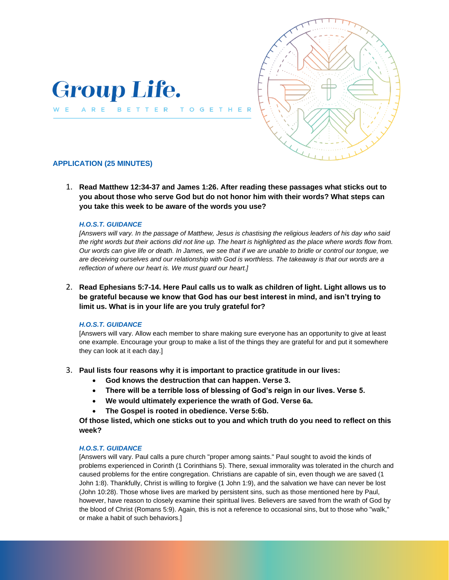

BETTER

T O

 $\mathbf{G}$ E



## **APPLICATION (25 MINUTES)**

WE ARE

1. **Read Matthew 12:34-37 and James 1:26. After reading these passages what sticks out to you about those who serve God but do not honor him with their words? What steps can you take this week to be aware of the words you use?** 

### *H.O.S.T. GUIDANCE*

*[Answers will vary. In the passage of Matthew, Jesus is chastising the religious leaders of his day who said the right words but their actions did not line up. The heart is highlighted as the place where words flow from. Our words can give life or death. In James, we see that if we are unable to bridle or control our tongue, we are deceiving ourselves and our relationship with God is worthless. The takeaway is that our words are a reflection of where our heart is. We must guard our heart.]* 

2. **Read Ephesians 5:7-14. Here Paul calls us to walk as children of light. Light allows us to be grateful because we know that God has our best interest in mind, and isn't trying to limit us. What is in your life are you truly grateful for?**

### *H.O.S.T. GUIDANCE*

[Answers will vary. Allow each member to share making sure everyone has an opportunity to give at least one example. Encourage your group to make a list of the things they are grateful for and put it somewhere they can look at it each day.]

## 3. **Paul lists four reasons why it is important to practice gratitude in our lives:**

- **God knows the destruction that can happen. Verse 3.**
- **There will be a terrible loss of blessing of God's reign in our lives. Verse 5.**
- **We would ultimately experience the wrath of God. Verse 6a.**
- **The Gospel is rooted in obedience. Verse 5:6b.**

**Of those listed, which one sticks out to you and which truth do you need to reflect on this week?** 

### *H.O.S.T. GUIDANCE*

[Answers will vary. Paul calls a pure church "proper among saints." Paul sought to avoid the kinds of problems experienced in Corinth (1 Corinthians 5). There, sexual immorality was tolerated in the church and caused problems for the entire congregation. Christians are capable of sin, even though we are saved (1 John 1:8). Thankfully, Christ is willing to forgive (1 John 1:9), and the salvation we have can never be lost (John 10:28). Those whose lives are marked by persistent sins, such as those mentioned here by Paul, however, have reason to closely examine their spiritual lives. Believers are saved from the wrath of God by the blood of Christ (Romans 5:9). Again, this is not a reference to occasional sins, but to those who "walk," or make a habit of such behaviors.]